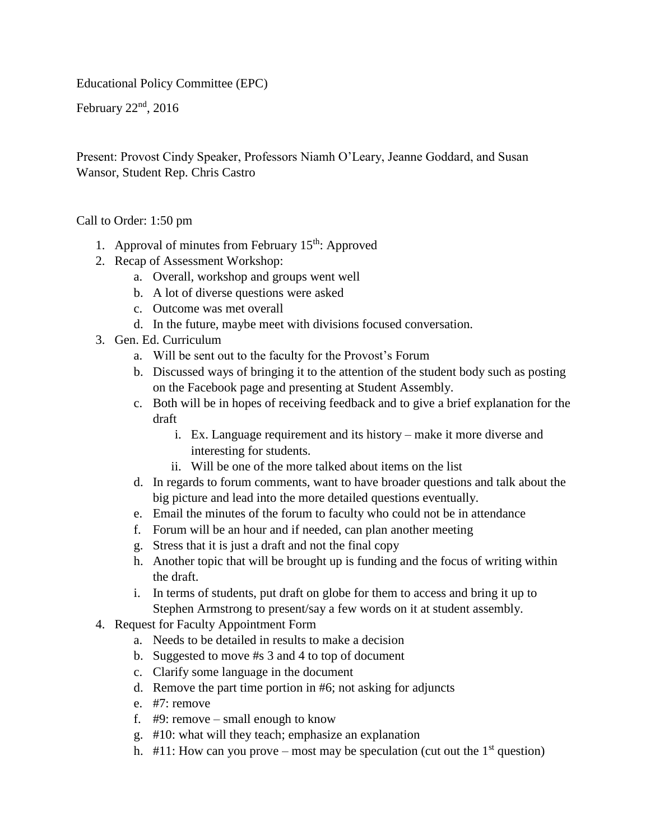Educational Policy Committee (EPC)

February  $22<sup>nd</sup>$ ,  $2016$ 

Present: Provost Cindy Speaker, Professors Niamh O'Leary, Jeanne Goddard, and Susan Wansor, Student Rep. Chris Castro

Call to Order: 1:50 pm

- 1. Approval of minutes from February  $15<sup>th</sup>$ : Approved
- 2. Recap of Assessment Workshop:
	- a. Overall, workshop and groups went well
	- b. A lot of diverse questions were asked
	- c. Outcome was met overall
	- d. In the future, maybe meet with divisions focused conversation.
- 3. Gen. Ed. Curriculum
	- a. Will be sent out to the faculty for the Provost's Forum
	- b. Discussed ways of bringing it to the attention of the student body such as posting on the Facebook page and presenting at Student Assembly.
	- c. Both will be in hopes of receiving feedback and to give a brief explanation for the draft
		- i. Ex. Language requirement and its history make it more diverse and interesting for students.
		- ii. Will be one of the more talked about items on the list
	- d. In regards to forum comments, want to have broader questions and talk about the big picture and lead into the more detailed questions eventually.
	- e. Email the minutes of the forum to faculty who could not be in attendance
	- f. Forum will be an hour and if needed, can plan another meeting
	- g. Stress that it is just a draft and not the final copy
	- h. Another topic that will be brought up is funding and the focus of writing within the draft.
	- i. In terms of students, put draft on globe for them to access and bring it up to Stephen Armstrong to present/say a few words on it at student assembly.
- 4. Request for Faculty Appointment Form
	- a. Needs to be detailed in results to make a decision
	- b. Suggested to move #s 3 and 4 to top of document
	- c. Clarify some language in the document
	- d. Remove the part time portion in #6; not asking for adjuncts
	- e. #7: remove
	- f. #9: remove small enough to know
	- g. #10: what will they teach; emphasize an explanation
	- h.  $\#11$ : How can you prove most may be speculation (cut out the 1<sup>st</sup> question)